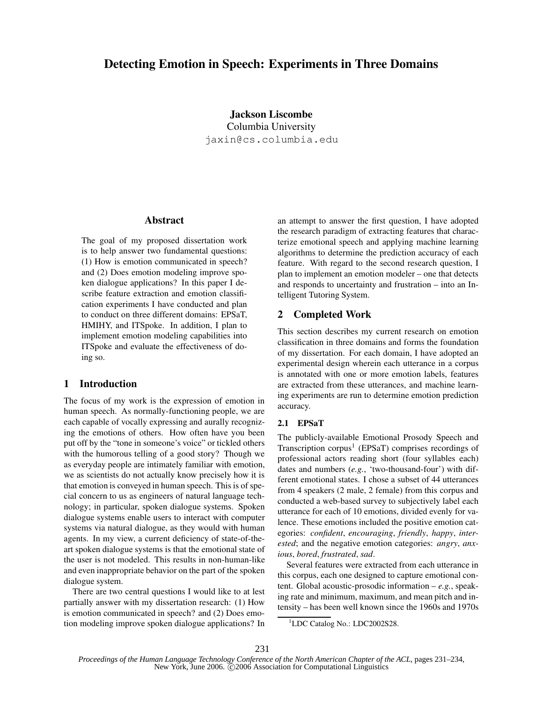# **Detecting Emotion in Speech: Experiments in Three Domains**

**Jackson Liscombe** Columbia University jaxin@cs.columbia.edu

## **Abstract**

The goal of my proposed dissertation work is to help answer two fundamental questions: (1) How is emotion communicated in speech? and (2) Does emotion modeling improve spoken dialogue applications? In this paper I describe feature extraction and emotion classification experiments I have conducted and plan to conduct on three different domains: EPSaT, HMIHY, and ITSpoke. In addition, I plan to implement emotion modeling capabilities into ITSpoke and evaluate the effectiveness of doing so.

# **1 Introduction**

The focus of my work is the expression of emotion in human speech. As normally-functioning people, we are each capable of vocally expressing and aurally recognizing the emotions of others. How often have you been put off by the "tone in someone's voice" or tickled others with the humorous telling of a good story? Though we as everyday people are intimately familiar with emotion, we as scientists do not actually know precisely how it is that emotion is conveyed in human speech. This is of special concern to us as engineers of natural language technology; in particular, spoken dialogue systems. Spoken dialogue systems enable users to interact with computer systems via natural dialogue, as they would with human agents. In my view, a current deficiency of state-of-theart spoken dialogue systems is that the emotional state of the user is not modeled. This results in non-human-like and even inappropriate behavior on the part of the spoken dialogue system.

There are two central questions I would like to at lest partially answer with my dissertation research: (1) How is emotion communicated in speech? and (2) Does emotion modeling improve spoken dialogue applications? In an attempt to answer the first question, I have adopted the research paradigm of extracting features that characterize emotional speech and applying machine learning algorithms to determine the prediction accuracy of each feature. With regard to the second research question, I plan to implement an emotion modeler – one that detects and responds to uncertainty and frustration – into an Intelligent Tutoring System.

# **2 Completed Work**

This section describes my current research on emotion classification in three domains and forms the foundation of my dissertation. For each domain, I have adopted an experimental design wherein each utterance in a corpus is annotated with one or more emotion labels, features are extracted from these utterances, and machine learning experiments are run to determine emotion prediction accuracy.

## **2.1 EPSaT**

The publicly-available Emotional Prosody Speech and Transcription corpus<sup>1</sup> (EPSaT) comprises recordings of professional actors reading short (four syllables each) dates and numbers (*e.g.*, 'two-thousand-four') with different emotional states. I chose a subset of 44 utterances from 4 speakers (2 male, 2 female) from this corpus and conducted a web-based survey to subjectively label each utterance for each of 10 emotions, divided evenly for valence. These emotions included the positive emotion categories: *confident*, *encouraging*, *friendly*, *happy*, *interested*; and the negative emotion categories: *angry*, *anxious*, *bored*, *frustrated*, *sad*.

Several features were extracted from each utterance in this corpus, each one designed to capture emotional content. Global acoustic-prosodic information – *e.g.*, speaking rate and minimum, maximum, and mean pitch and intensity – has been well known since the 1960s and 1970s

<sup>&</sup>lt;sup>1</sup>LDC Catalog No.: LDC2002S28.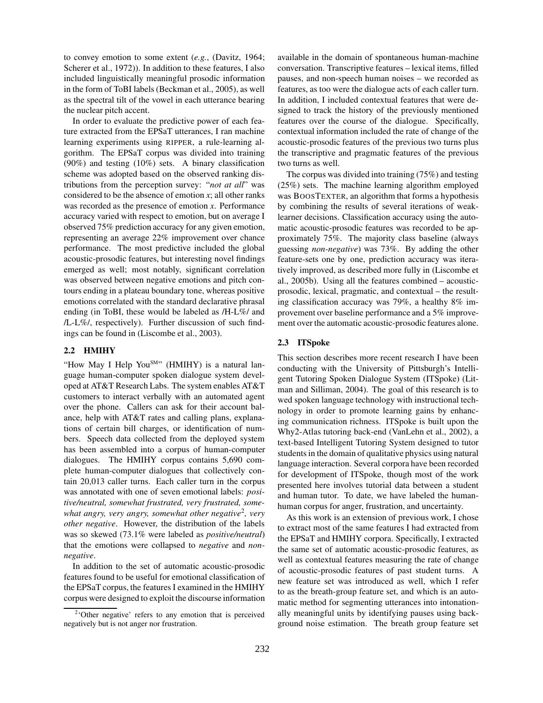to convey emotion to some extent (*e.g.*, (Davitz, 1964; Scherer et al., 1972)). In addition to these features, I also included linguistically meaningful prosodic information in the form of ToBI labels (Beckman et al., 2005), as well as the spectral tilt of the vowel in each utterance bearing the nuclear pitch accent.

In order to evaluate the predictive power of each feature extracted from the EPSaT utterances, I ran machine learning experiments using RIPPER, a rule-learning algorithm. The EPSaT corpus was divided into training (90%) and testing (10%) sets. A binary classification scheme was adopted based on the observed ranking distributions from the perception survey: "*not at all*" was considered to be the absence of emotion  $x$ ; all other ranks was recorded as the presence of emotion *x*. Performance accuracy varied with respect to emotion, but on average I observed 75% prediction accuracy for any given emotion, representing an average 22% improvement over chance performance. The most predictive included the global acoustic-prosodic features, but interesting novel findings emerged as well; most notably, significant correlation was observed between negative emotions and pitch contours ending in a plateau boundary tone, whereas positive emotions correlated with the standard declarative phrasal ending (in ToBI, these would be labeled as /H-L%/ and /L-L%/, respectively). Further discussion of such findings can be found in (Liscombe et al., 2003).

## **2.2 HMIHY**

"How May I Help You<sup>SM</sup>" (HMIHY) is a natural language human-computer spoken dialogue system developed at AT&T Research Labs. The system enables AT&T customers to interact verbally with an automated agent over the phone. Callers can ask for their account balance, help with AT&T rates and calling plans, explanations of certain bill charges, or identification of numbers. Speech data collected from the deployed system has been assembled into a corpus of human-computer dialogues. The HMIHY corpus contains 5,690 complete human-computer dialogues that collectively contain 20,013 caller turns. Each caller turn in the corpus was annotated with one of seven emotional labels: *positive/neutral, somewhat frustrated, very frustrated, somewhat angry, very angry, somewhat other negative*<sup>2</sup> *, very other negative*. However, the distribution of the labels was so skewed (73.1% were labeled as *positive/neutral*) that the emotions were collapsed to *negative* and *nonnegative*.

In addition to the set of automatic acoustic-prosodic features found to be useful for emotional classification of the EPSaT corpus, the features I examined in the HMIHY corpus were designed to exploit the discourse information available in the domain of spontaneous human-machine conversation. Transcriptive features – lexical items, filled pauses, and non-speech human noises – we recorded as features, as too were the dialogue acts of each caller turn. In addition, I included contextual features that were designed to track the history of the previously mentioned features over the course of the dialogue. Specifically, contextual information included the rate of change of the acoustic-prosodic features of the previous two turns plus the transcriptive and pragmatic features of the previous two turns as well.

The corpus was divided into training (75%) and testing (25%) sets. The machine learning algorithm employed was BOOSTEXTER, an algorithm that forms a hypothesis by combining the results of several iterations of weaklearner decisions. Classification accuracy using the automatic acoustic-prosodic features was recorded to be approximately 75%. The majority class baseline (always guessing *non-negative*) was 73%. By adding the other feature-sets one by one, prediction accuracy was iteratively improved, as described more fully in (Liscombe et al., 2005b). Using all the features combined – acousticprosodic, lexical, pragmatic, and contextual – the resulting classification accuracy was 79%, a healthy 8% improvement over baseline performance and a 5% improvement over the automatic acoustic-prosodic features alone.

### **2.3 ITSpoke**

This section describes more recent research I have been conducting with the University of Pittsburgh's Intelligent Tutoring Spoken Dialogue System (ITSpoke) (Litman and Silliman, 2004). The goal of this research is to wed spoken language technology with instructional technology in order to promote learning gains by enhancing communication richness. ITSpoke is built upon the Why2-Atlas tutoring back-end (VanLehn et al., 2002), a text-based Intelligent Tutoring System designed to tutor students in the domain of qualitative physics using natural language interaction. Several corpora have been recorded for development of ITSpoke, though most of the work presented here involves tutorial data between a student and human tutor. To date, we have labeled the humanhuman corpus for anger, frustration, and uncertainty.

As this work is an extension of previous work, I chose to extract most of the same features I had extracted from the EPSaT and HMIHY corpora. Specifically, I extracted the same set of automatic acoustic-prosodic features, as well as contextual features measuring the rate of change of acoustic-prosodic features of past student turns. A new feature set was introduced as well, which I refer to as the breath-group feature set, and which is an automatic method for segmenting utterances into intonationally meaningful units by identifying pauses using background noise estimation. The breath group feature set

<sup>&</sup>lt;sup>2</sup>'Other negative' refers to any emotion that is perceived negatively but is not anger nor frustration.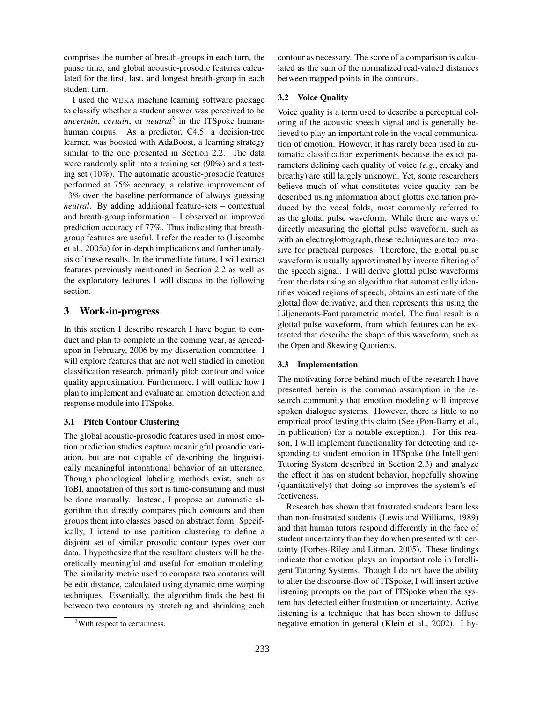comprises the number of breath-groups in each turn, the pause time, and global acoustic-prosodic features calculated for the first, last, and longest breath-group in each student turn.

I used the WEKA machine learning software package to classify whether a student answer was perceived to be *uncertain*, *certain*, or *neutral*<sup>3</sup> in the ITSpoke humanhuman corpus. As a predictor, C4.5, a decision-tree learner, was boosted with AdaBoost, a learning strategy similar to the one presented in Section 2.2. The data were randomly split into a training set (90%) and a testing set (10%). The automatic acoustic-prosodic features performed at 75% accuracy, a relative improvement of 13% over the baseline performance of always guessing *neutral*. By adding additional feature-sets – contextual and breath-group information – I observed an improved prediction accuracy of 77%. Thus indicating that breathgroup features are useful. I refer the reader to (Liscombe et al., 2005a) for in-depth implications and further analysis of these results. In the immediate future, I will extract features previously mentioned in Section 2.2 as well as the exploratory features I will discuss in the following section.

# **3 Work-in-progress**

In this section I describe research I have begun to conduct and plan to complete in the coming year, as agreedupon in February, 2006 by my dissertation committee. I will explore features that are not well studied in emotion classification research, primarily pitch contour and voice quality approximation. Furthermore, I will outline how I plan to implement and evaluate an emotion detection and response module into ITSpoke.

#### **3.1 Pitch Contour Clustering**

The global acoustic-prosodic features used in most emotion prediction studies capture meaningful prosodic variation, but are not capable of describing the linguistically meaningful intonational behavior of an utterance. Though phonological labeling methods exist, such as ToBI, annotation of this sort is time-consuming and must be done manually. Instead, I propose an automatic algorithm that directly compares pitch contours and then groups them into classes based on abstract form. Specifically, I intend to use partition clustering to define a disjoint set of similar prosodic contour types over our data. I hypothesize that the resultant clusters will be theoretically meaningful and useful for emotion modeling. The similarity metric used to compare two contours will be edit distance, calculated using dynamic time warping techniques. Essentially, the algorithm finds the best fit between two contours by stretching and shrinking each contour as necessary. The score of a comparison is calculated as the sum of the normalized real-valued distances between mapped points in the contours.

#### **3.2 Voice Quality**

Voice quality is a term used to describe a perceptual coloring of the acoustic speech signal and is generally believed to play an important role in the vocal communication of emotion. However, it has rarely been used in automatic classification experiments because the exact parameters defining each quality of voice (*e.g.*, creaky and breathy) are still largely unknown. Yet, some researchers believe much of what constitutes voice quality can be described using information about glottis excitation produced by the vocal folds, most commonly referred to as the glottal pulse waveform. While there are ways of directly measuring the glottal pulse waveform, such as with an electroglottograph, these techniques are too invasive for practical purposes. Therefore, the glottal pulse waveform is usually approximated by inverse filtering of the speech signal. I will derive glottal pulse waveforms from the data using an algorithm that automatically identifies voiced regions of speech, obtains an estimate of the glottal flow derivative, and then represents this using the Liljencrants-Fant parametric model. The final result is a glottal pulse waveform, from which features can be extracted that describe the shape of this waveform, such as the Open and Skewing Quotients.

## **3.3 Implementation**

The motivating force behind much of the research I have presented herein is the common assumption in the research community that emotion modeling will improve spoken dialogue systems. However, there is little to no empirical proof testing this claim (See (Pon-Barry et al., In publication) for a notable exception.). For this reason, I will implement functionality for detecting and responding to student emotion in ITSpoke (the Intelligent Tutoring System described in Section 2.3) and analyze the effect it has on student behavior, hopefully showing (quantitatively) that doing so improves the system's effectiveness.

Research has shown that frustrated students learn less than non-frustrated students (Lewis and Williams, 1989) and that human tutors respond differently in the face of student uncertainty than they do when presented with certainty (Forbes-Riley and Litman, 2005). These findings indicate that emotion plays an important role in Intelligent Tutoring Systems. Though I do not have the ability to alter the discourse-flow of ITSpoke, I will insert active listening prompts on the part of ITSpoke when the system has detected either frustration or uncertainty. Active listening is a technique that has been shown to diffuse negative emotion in general (Klein et al., 2002). I hy-

<sup>&</sup>lt;sup>3</sup>With respect to certainness.